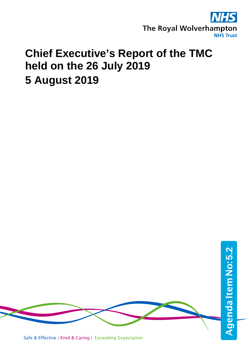

## **Chief Executive's Report of the TMC held on the 26 July 2019 5 August 2019**

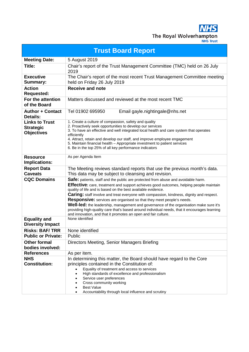**NHS** The Royal Wolverhampton

| <b>Trust Board Report</b>                                      |                                                                                                                                                                                                                                                                                                                                                                                                                                                                                                                                                                                                                                                                                            |  |
|----------------------------------------------------------------|--------------------------------------------------------------------------------------------------------------------------------------------------------------------------------------------------------------------------------------------------------------------------------------------------------------------------------------------------------------------------------------------------------------------------------------------------------------------------------------------------------------------------------------------------------------------------------------------------------------------------------------------------------------------------------------------|--|
| <b>Meeting Date:</b>                                           | 5 August 2019                                                                                                                                                                                                                                                                                                                                                                                                                                                                                                                                                                                                                                                                              |  |
| Title:                                                         | Chair's report of the Trust Management Committee (TMC) held on 26 July<br>2019                                                                                                                                                                                                                                                                                                                                                                                                                                                                                                                                                                                                             |  |
| <b>Executive</b><br>Summary:                                   | The Chair's report of the most recent Trust Management Committee meeting<br>held on Friday 26 July 2019                                                                                                                                                                                                                                                                                                                                                                                                                                                                                                                                                                                    |  |
| <b>Action</b><br><b>Requested:</b>                             | <b>Receive and note</b>                                                                                                                                                                                                                                                                                                                                                                                                                                                                                                                                                                                                                                                                    |  |
| For the attention<br>of the Board                              | Matters discussed and reviewed at the most recent TMC                                                                                                                                                                                                                                                                                                                                                                                                                                                                                                                                                                                                                                      |  |
| <b>Author + Contact</b><br><b>Details:</b>                     | Tel 01902 695950<br>Email gayle.nightingale@nhs.net                                                                                                                                                                                                                                                                                                                                                                                                                                                                                                                                                                                                                                        |  |
| <b>Links to Trust</b><br><b>Strategic</b><br><b>Objectives</b> | 1. Create a culture of compassion, safety and quality<br>2. Proactively seek opportunities to develop our services<br>3. To have an effective and well integrated local health and care system that operates<br>efficiently<br>4. Attract, retain and develop our staff, and improve employee engagement<br>5. Maintain financial health - Appropriate investment to patient services<br>6. Be in the top 25% of all key performance indicators                                                                                                                                                                                                                                            |  |
| <b>Resource</b><br>Implications:                               | As per Agenda Item                                                                                                                                                                                                                                                                                                                                                                                                                                                                                                                                                                                                                                                                         |  |
| <b>Report Data</b><br><b>Caveats</b>                           | The Meeting reviews standard reports that use the previous month's data.<br>This data may be subject to cleansing and revision.                                                                                                                                                                                                                                                                                                                                                                                                                                                                                                                                                            |  |
| <b>CQC Domains</b>                                             | Safe: patients, staff and the public are protected from abuse and avoidable harm.<br>Effective: care, treatment and support achieves good outcomes, helping people maintain<br>quality of life and is based on the best available evidence.<br><b>Caring:</b> staff involve and treat everyone with compassion, kindness, dignity and respect.<br><b>Responsive:</b> services are organised so that they meet people's needs.<br>Well-led: the leadership, management and governance of the organisation make sure it's<br>providing high-quality care that's based around individual needs, that it encourages learning<br>and innovation, and that it promotes an open and fair culture. |  |
| <b>Equality and</b><br><b>Diversity Impact</b>                 | None identified                                                                                                                                                                                                                                                                                                                                                                                                                                                                                                                                                                                                                                                                            |  |
| <b>Risks: BAF/TRR</b>                                          | None identified                                                                                                                                                                                                                                                                                                                                                                                                                                                                                                                                                                                                                                                                            |  |
| <b>Public or Private:</b>                                      | Public                                                                                                                                                                                                                                                                                                                                                                                                                                                                                                                                                                                                                                                                                     |  |
| <b>Other formal</b><br>bodies involved:                        | Directors Meeting, Senior Managers Briefing                                                                                                                                                                                                                                                                                                                                                                                                                                                                                                                                                                                                                                                |  |
| <b>References</b>                                              | As per item.                                                                                                                                                                                                                                                                                                                                                                                                                                                                                                                                                                                                                                                                               |  |
| <b>NHS</b><br><b>Constitution:</b>                             | In determining this matter, the Board should have regard to the Core<br>principles contained in the Constitution of:<br>Equality of treatment and access to services<br>High standards of excellence and professionalism<br>Service user preferences<br>Cross community working<br><b>Best Value</b>                                                                                                                                                                                                                                                                                                                                                                                       |  |
|                                                                | Accountability through local influence and scrutiny                                                                                                                                                                                                                                                                                                                                                                                                                                                                                                                                                                                                                                        |  |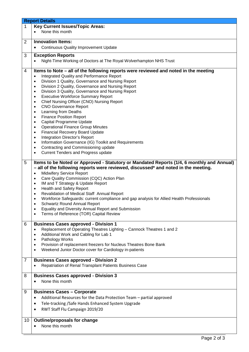|                | <b>Report Details</b>                                                                          |
|----------------|------------------------------------------------------------------------------------------------|
| $\mathbf{1}$   | <b>Key Current Issues/Topic Areas:</b>                                                         |
|                | None this month                                                                                |
|                |                                                                                                |
| 2              | <b>Innovation Items:</b>                                                                       |
|                | <b>Continuous Quality Improvement Update</b><br>$\bullet$                                      |
|                |                                                                                                |
| 3              | <b>Exception Reports</b>                                                                       |
|                | Night-Time Working of Doctors at The Royal Wolverhampton NHS Trust                             |
|                |                                                                                                |
| 4              | Items to Note – all of the following reports were reviewed and noted in the meeting            |
|                | Integrated Quality and Performance Report<br>$\bullet$                                         |
|                | Division 1 Quality, Governance and Nursing Report<br>$\bullet$                                 |
|                | Division 2 Quality, Governance and Nursing Report<br>$\bullet$                                 |
|                | Division 3 Quality, Governance and Nursing Report<br>$\bullet$                                 |
|                | <b>Executive Workforce Summary Report</b><br>$\bullet$                                         |
|                | Chief Nursing Officer (CNO) Nursing Report<br>$\bullet$                                        |
|                | <b>CNO Governance Report</b><br>$\bullet$                                                      |
|                |                                                                                                |
|                | Learning from Deaths<br>$\bullet$                                                              |
|                | <b>Finance Position Report</b><br>$\bullet$                                                    |
|                | Capital Programme Update<br>٠                                                                  |
|                | <b>Operational Finance Group Minutes</b><br>$\bullet$                                          |
|                | <b>Financial Recovery Board Update</b><br>$\bullet$                                            |
|                | <b>Integration Director's Report</b><br>$\bullet$                                              |
|                | Information Governance (IG) Toolkit and Requirements<br>$\bullet$                              |
|                | Contracting and Commissioning update<br>$\bullet$                                              |
|                | <b>Current Tenders and Progress update</b><br>$\bullet$                                        |
|                |                                                                                                |
| 5              | Items to be Noted or Approved - Statutory or Mandated Reports (1/4, 6 monthly and Annual)      |
|                | - all of the following reports were reviewed, discussed* and noted in the meeting.             |
|                | <b>Midwifery Service Report</b><br>$\bullet$                                                   |
|                | Care Quality Commission (CQC) Action Plan<br>$\bullet$                                         |
|                | IM and T Strategy & Update Report<br>$\bullet$                                                 |
|                | Health and Safety Report<br>٠                                                                  |
|                | Revalidation of Medical Staff Annual Report<br>٠                                               |
|                | Workforce Safeguards: current compliance and gap analysis for Allied Health Professionals<br>٠ |
|                | <b>Schwartz Round Annual Report</b><br>٠                                                       |
|                | Equality and Diversity Annual Report and Submission<br>$\bullet$                               |
|                | Terms of Reference (TOR) Capital Review<br>$\bullet$                                           |
|                |                                                                                                |
| 6              | <b>Business Cases approved - Division 1</b>                                                    |
|                | Replacement of Operating Theatres Lighting - Cannock Theatres 1 and 2<br>$\bullet$             |
|                | Additional Work and Cabling for Lab 1<br>$\bullet$                                             |
|                | Pathology Works<br>$\bullet$                                                                   |
|                | Provision of replacement freezers for Nucleus Theatres Bone Bank<br>$\bullet$                  |
|                | Weekend Junior Doctor cover for Cardiology in-patients<br>$\bullet$                            |
|                |                                                                                                |
| $\overline{7}$ | <b>Business Cases approved - Division 2</b>                                                    |
|                |                                                                                                |
|                | Repatriation of Renal Transplant Patients Business Case                                        |
|                |                                                                                                |
| 8              | <b>Business Cases approved - Division 3</b>                                                    |
|                | None this month                                                                                |
|                |                                                                                                |
| 9              | <b>Business Cases - Corporate</b>                                                              |
|                | Additional Resources for the Data Protection Team - partial approved<br>٠                      |
|                | Tele-tracking / Safe Hands Enhanced System Upgrade<br>٠                                        |
|                |                                                                                                |
|                | RWT Staff Flu Campaign 2019/20<br>$\bullet$                                                    |
|                |                                                                                                |
| 10             | <b>Outline/proposals for change</b>                                                            |
|                | None this month<br>٠                                                                           |
|                |                                                                                                |